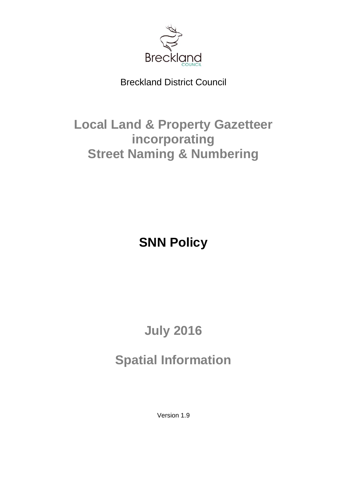

Breckland District Council

# **Local Land & Property Gazetteer incorporating Street Naming & Numbering**

**SNN Policy**

# **July 2016**

# **Spatial Information**

Version 1.9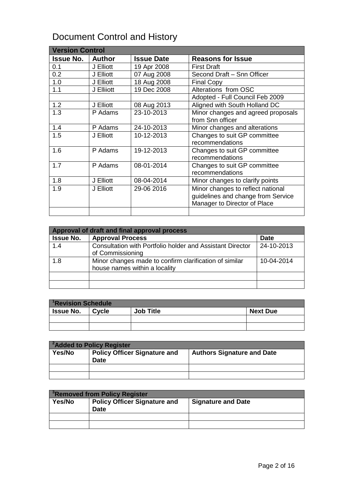# Document Control and History

| <b>Version Control</b> |               |                   |                                    |
|------------------------|---------------|-------------------|------------------------------------|
| <b>Issue No.</b>       | <b>Author</b> | <b>Issue Date</b> | <b>Reasons for Issue</b>           |
| 0.1                    | J Elliott     | 19 Apr 2008       | <b>First Draft</b>                 |
| 0.2                    | J Elliott     | 07 Aug 2008       | Second Draft - Snn Officer         |
| 1.0                    | J Elliott     | 18 Aug 2008       | <b>Final Copy</b>                  |
| 1.1                    | J Ellijott    | 19 Dec 2008       | Alterations from OSC               |
|                        |               |                   | Adopted - Full Council Feb 2009    |
| 1.2                    | J Elliott     | 08 Aug 2013       | Aligned with South Holland DC      |
| 1.3                    | P Adams       | 23-10-2013        | Minor changes and agreed proposals |
|                        |               |                   | from Snn officer                   |
| 1.4                    | P Adams       | 24-10-2013        | Minor changes and alterations      |
| 1.5                    | J Elliott     | 10-12-2013        | Changes to suit GP committee       |
|                        |               |                   | recommendations                    |
| 1.6                    | P Adams       | 19-12-2013        | Changes to suit GP committee       |
|                        |               |                   | recommendations                    |
| 1.7                    | P Adams       | 08-01-2014        | Changes to suit GP committee       |
|                        |               |                   | recommendations                    |
| 1.8                    | J Elliott     | 08-04-2014        | Minor changes to clarify points    |
| 1.9                    | J Elliott     | 29-06 2016        | Minor changes to reflect national  |
|                        |               |                   | guidelines and change from Service |
|                        |               |                   | Manager to Director of Place       |
|                        |               |                   |                                    |

| Approval of draft and final approval process |                                                                                         |             |
|----------------------------------------------|-----------------------------------------------------------------------------------------|-------------|
| <b>Issue No.</b>                             | <b>Approval Process</b>                                                                 | <b>Date</b> |
| 1.4                                          | Consultation with Portfolio holder and Assistant Director<br>of Commissioning           | 24-10-2013  |
| 1.8                                          | Minor changes made to confirm clarification of similar<br>house names within a locality | 10-04-2014  |
|                                              |                                                                                         |             |
|                                              |                                                                                         |             |

| <sup>1</sup> Revision Schedule |       |                  |                 |
|--------------------------------|-------|------------------|-----------------|
| <b>Issue No.</b>               | Cycle | <b>Job Title</b> | <b>Next Due</b> |
|                                |       |                  |                 |
|                                |       |                  |                 |

| <sup>2</sup> Added to Policy Register |                                                    |                                   |
|---------------------------------------|----------------------------------------------------|-----------------------------------|
| <b>Yes/No</b>                         | <b>Policy Officer Signature and</b><br><b>Date</b> | <b>Authors Signature and Date</b> |
|                                       |                                                    |                                   |
|                                       |                                                    |                                   |

| <sup>3</sup> Removed from Policy Register |                                                    |                           |
|-------------------------------------------|----------------------------------------------------|---------------------------|
| Yes/No                                    | <b>Policy Officer Signature and</b><br><b>Date</b> | <b>Signature and Date</b> |
|                                           |                                                    |                           |
|                                           |                                                    |                           |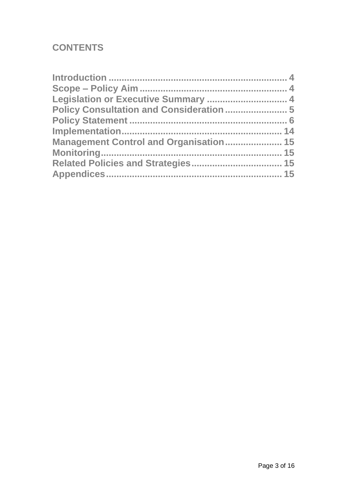# **CONTENTS**

| Legislation or Executive Summary  4           |
|-----------------------------------------------|
| Policy Consultation and Consideration  5      |
|                                               |
|                                               |
| <b>Management Control and Organisation 15</b> |
|                                               |
|                                               |
|                                               |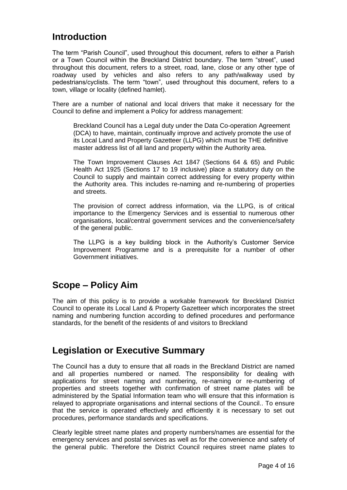## <span id="page-3-0"></span>**Introduction**

The term "Parish Council", used throughout this document, refers to either a Parish or a Town Council within the Breckland District boundary. The term "street", used throughout this document, refers to a street, road, lane, close or any other type of roadway used by vehicles and also refers to any path/walkway used by pedestrians/cyclists. The term "town", used throughout this document, refers to a town, village or locality (defined hamlet).

There are a number of national and local drivers that make it necessary for the Council to define and implement a Policy for address management:

Breckland Council has a Legal duty under the Data Co-operation Agreement (DCA) to have, maintain, continually improve and actively promote the use of its Local Land and Property Gazetteer (LLPG) which must be THE definitive master address list of all land and property within the Authority area.

The Town Improvement Clauses Act 1847 (Sections 64 & 65) and Public Health Act 1925 (Sections 17 to 19 inclusive) place a statutory duty on the Council to supply and maintain correct addressing for every property within the Authority area. This includes re-naming and re-numbering of properties and streets.

The provision of correct address information, via the LLPG, is of critical importance to the Emergency Services and is essential to numerous other organisations, local/central government services and the convenience/safety of the general public.

The LLPG is a key building block in the Authority's Customer Service Improvement Programme and is a prerequisite for a number of other Government initiatives.

## <span id="page-3-1"></span>**Scope – Policy Aim**

The aim of this policy is to provide a workable framework for Breckland District Council to operate its Local Land & Property Gazetteer which incorporates the street naming and numbering function according to defined procedures and performance standards, for the benefit of the residents of and visitors to Breckland

## <span id="page-3-2"></span>**Legislation or Executive Summary**

The Council has a duty to ensure that all roads in the Breckland District are named and all properties numbered or named. The responsibility for dealing with applications for street naming and numbering, re-naming or re-numbering of properties and streets together with confirmation of street name plates will be administered by the Spatial Information team who will ensure that this information is relayed to appropriate organisations and internal sections of the Council.. To ensure that the service is operated effectively and efficiently it is necessary to set out procedures, performance standards and specifications.

Clearly legible street name plates and property numbers/names are essential for the emergency services and postal services as well as for the convenience and safety of the general public. Therefore the District Council requires street name plates to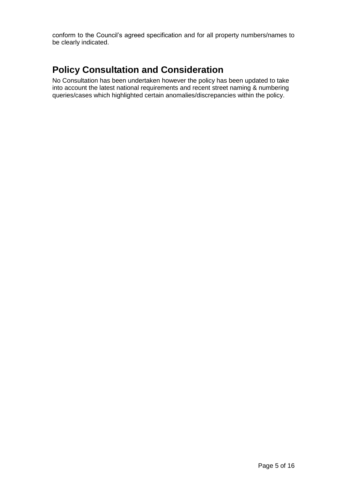conform to the Council's agreed specification and for all property numbers/names to be clearly indicated.

# <span id="page-4-0"></span>**Policy Consultation and Consideration**

<span id="page-4-1"></span>No Consultation has been undertaken however the policy has been updated to take into account the latest national requirements and recent street naming & numbering queries/cases which highlighted certain anomalies/discrepancies within the policy.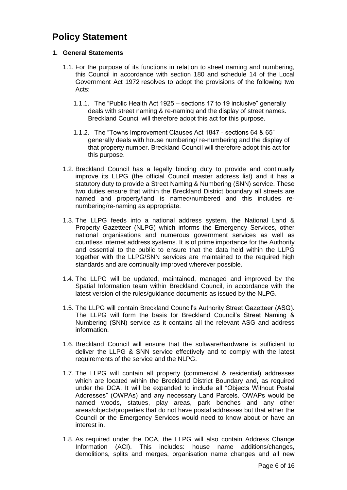## **Policy Statement**

#### **1. General Statements**

- 1.1. For the purpose of its functions in relation to street naming and numbering, this Council in accordance with section 180 and schedule 14 of the Local Government Act 1972 resolves to adopt the provisions of the following two Acts:
	- 1.1.1. The "Public Health Act 1925 sections 17 to 19 inclusive" generally deals with street naming & re-naming and the display of street names. Breckland Council will therefore adopt this act for this purpose.
	- 1.1.2. The "Towns Improvement Clauses Act 1847 sections 64 & 65" generally deals with house numbering/ re-numbering and the display of that property number. Breckland Council will therefore adopt this act for this purpose.
- 1.2. Breckland Council has a legally binding duty to provide and continually improve its LLPG (the official Council master address list) and it has a statutory duty to provide a Street Naming & Numbering (SNN) service. These two duties ensure that within the Breckland District boundary all streets are named and property/land is named/numbered and this includes renumbering/re-naming as appropriate.
- 1.3. The LLPG feeds into a national address system, the National Land & Property Gazetteer (NLPG) which informs the Emergency Services, other national organisations and numerous government services as well as countless internet address systems. It is of prime importance for the Authority and essential to the public to ensure that the data held within the LLPG together with the LLPG/SNN services are maintained to the required high standards and are continually improved wherever possible.
- 1.4. The LLPG will be updated, maintained, managed and improved by the Spatial Information team within Breckland Council, in accordance with the latest version of the rules/guidance documents as issued by the NLPG.
- 1.5. The LLPG will contain Breckland Council's Authority Street Gazetteer (ASG). The LLPG will form the basis for Breckland Council's Street Naming & Numbering (SNN) service as it contains all the relevant ASG and address information.
- 1.6. Breckland Council will ensure that the software/hardware is sufficient to deliver the LLPG & SNN service effectively and to comply with the latest requirements of the service and the NLPG.
- 1.7. The LLPG will contain all property (commercial & residential) addresses which are located within the Breckland District Boundary and, as required under the DCA. It will be expanded to include all "Objects Without Postal Addresses" (OWPAs) and any necessary Land Parcels. OWAPs would be named woods, statues, play areas, park benches and any other areas/objects/properties that do not have postal addresses but that either the Council or the Emergency Services would need to know about or have an interest in.
- 1.8. As required under the DCA, the LLPG will also contain Address Change Information (ACI). This includes: house name additions/changes, demolitions, splits and merges, organisation name changes and all new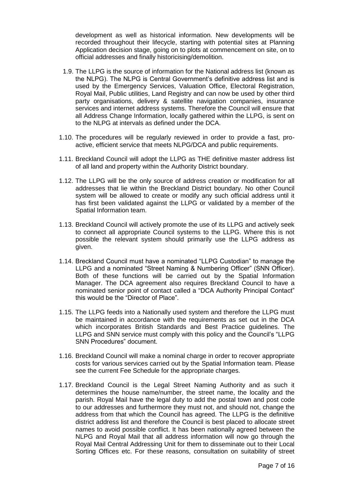development as well as historical information. New developments will be recorded throughout their lifecycle, starting with potential sites at Planning Application decision stage, going on to plots at commencement on site, on to official addresses and finally historicising/demolition.

- 1.9. The LLPG is the source of information for the National address list (known as the NLPG). The NLPG is Central Government's definitive address list and is used by the Emergency Services, Valuation Office, Electoral Registration, Royal Mail, Public utilities, Land Registry and can now be used by other third party organisations, delivery & satellite navigation companies, insurance services and internet address systems. Therefore the Council will ensure that all Address Change Information, locally gathered within the LLPG, is sent on to the NLPG at intervals as defined under the DCA.
- 1.10. The procedures will be regularly reviewed in order to provide a fast, proactive, efficient service that meets NLPG/DCA and public requirements.
- 1.11. Breckland Council will adopt the LLPG as THE definitive master address list of all land and property within the Authority District boundary.
- 1.12. The LLPG will be the only source of address creation or modification for all addresses that lie within the Breckland District boundary. No other Council system will be allowed to create or modify any such official address until it has first been validated against the LLPG or validated by a member of the Spatial Information team.
- 1.13. Breckland Council will actively promote the use of its LLPG and actively seek to connect all appropriate Council systems to the LLPG. Where this is not possible the relevant system should primarily use the LLPG address as given.
- 1.14. Breckland Council must have a nominated "LLPG Custodian" to manage the LLPG and a nominated "Street Naming & Numbering Officer" (SNN Officer). Both of these functions will be carried out by the Spatial Information Manager. The DCA agreement also requires Breckland Council to have a nominated senior point of contact called a "DCA Authority Principal Contact" this would be the "Director of Place".
- 1.15. The LLPG feeds into a Nationally used system and therefore the LLPG must be maintained in accordance with the requirements as set out in the DCA which incorporates British Standards and Best Practice guidelines. The LLPG and SNN service must comply with this policy and the Council's "LLPG SNN Procedures" document.
- 1.16. Breckland Council will make a nominal charge in order to recover appropriate costs for various services carried out by the Spatial Information team. Please see the current Fee Schedule for the appropriate charges.
- 1.17. Breckland Council is the Legal Street Naming Authority and as such it determines the house name/number, the street name, the locality and the parish. Royal Mail have the legal duty to add the postal town and post code to our addresses and furthermore they must not, and should not, change the address from that which the Council has agreed. The LLPG is the definitive district address list and therefore the Council is best placed to allocate street names to avoid possible conflict. It has been nationally agreed between the NLPG and Royal Mail that all address information will now go through the Royal Mail Central Addressing Unit for them to disseminate out to their Local Sorting Offices etc. For these reasons, consultation on suitability of street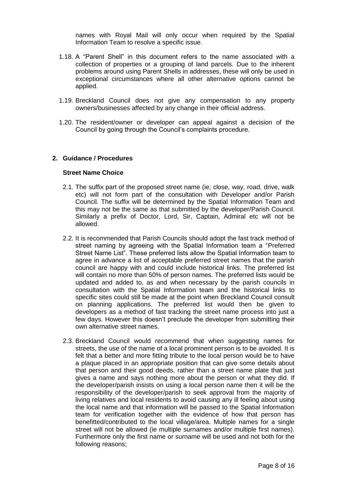names with Royal Mail will only occur when required by the Spatial Information Team to resolve a specific issue.

- 1.18. A "Parent Shell" in this document refers to the name associated with a collection of properties or a grouping of land parcels. Due to the inherent problems around using Parent Shells in addresses, these will only be used in exceptional circumstances where all other alternative options cannot be applied.
- 1.19. Breckland Council does not give any compensation to any property owners/businesses affected by any change in their official address.
- 1.20. The resident/owner or developer can appeal against a decision of the Council by going through the Council's complaints procedure.

#### **2. Guidance / Procedures**

#### **Street Name Choice**

- 2.1. The suffix part of the proposed street name (ie; close, way, road, drive, walk etc) will not form part of the consultation with Developer and/or Parish Council. The suffix will be determined by the Spatial Information Team and this may not be the same as that submitted by the developer/Parish Council. Similarly a prefix of Doctor, Lord, Sir, Captain, Admiral etc will not be allowed.
- 2.2. It is recommended that Parish Councils should adopt the fast track method of street naming by agreeing with the Spatial Information team a "Preferred Street Name List". These preferred lists allow the Spatial Information team to agree in advance a list of acceptable preferred street names that the parish council are happy with and could include historical links. The preferred list will contain no more than 50% of person names. The preferred lists would be updated and added to, as and when necessary by the parish councils in consultation with the Spatial Information team and the historical links to specific sites could still be made at the point when Breckland Council consult on planning applications. The preferred list would then be given to developers as a method of fast tracking the street name process into just a few days. However this doesn't preclude the developer from submitting their own alternative street names.
- 2.3. Breckland Council would recommend that when suggesting names for streets, the use of the name of a local prominent person is to be avoided. It is felt that a better and more fitting tribute to the local person would be to have a plaque placed in an appropriate position that can give some details about that person and their good deeds, rather than a street name plate that just gives a name and says nothing more about the person or what they did. If the developer/parish insists on using a local person name then it will be the responsibility of the developer/parish to seek approval from the majority of living relatives and local residents to avoid causing any ill feeling about using the local name and that information will be passed to the Spatial Information team for verification together with the evidence of how that person has benefitted/contributed to the local village/area. Multiple names for a single street will not be allowed (ie multiple surnames and/or multiple first names). Furthermore only the first name or surname will be used and not both for the following reasons;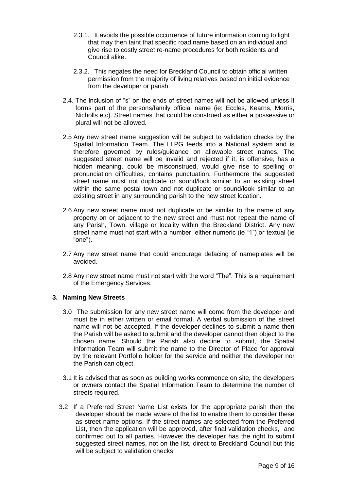- 2.3.1. It avoids the possible occurrence of future information coming to light that may then taint that specific road name based on an individual and give rise to costly street re-name procedures for both residents and Council alike.
- 2.3.2. This negates the need for Breckland Council to obtain official written permission from the majority of living relatives based on initial evidence from the developer or parish.
- 2.4. The inclusion of "s" on the ends of street names will not be allowed unless it forms part of the persons/family official name (ie; Eccles, Kearns, Morris, Nicholls etc). Street names that could be construed as either a possessive or plural will not be allowed.
- 2.5 Any new street name suggestion will be subject to validation checks by the Spatial Information Team. The LLPG feeds into a National system and is therefore governed by rules/guidance on allowable street names. The suggested street name will be invalid and rejected if it; is offensive, has a hidden meaning, could be misconstrued, would give rise to spelling or pronunciation difficulties, contains punctuation. Furthermore the suggested street name must not duplicate or sound/look similar to an existing street within the same postal town and not duplicate or sound/look similar to an existing street in any surrounding parish to the new street location.
- 2.6 Any new street name must not duplicate or be similar to the name of any property on or adjacent to the new street and must not repeat the name of any Parish, Town, village or locality within the Breckland District. Any new street name must not start with a number, either numeric (ie "1") or textual (ie "one").
- 2.7 Any new street name that could encourage defacing of nameplates will be avoided.
- 2.8 Any new street name must not start with the word "The". This is a requirement of the Emergency Services.

#### **3. Naming New Streets**

- 3.0 The submission for any new street name will come from the developer and must be in either written or email format. A verbal submission of the street name will not be accepted. If the developer declines to submit a name then the Parish will be asked to submit and the developer cannot then object to the chosen name. Should the Parish also decline to submit, the Spatial Information Team will submit the name to the Director of Place for approval by the relevant Portfolio holder for the service and neither the developer nor the Parish can object.
- 3.1 It is advised that as soon as building works commence on site, the developers or owners contact the Spatial Information Team to determine the number of streets required.
- 3.2 If a Preferred Street Name List exists for the appropriate parish then the developer should be made aware of the list to enable them to consider these as street name options. If the street names are selected from the Preferred List, then the application will be approved, after final validation checks, and confirmed out to all parties. However the developer has the right to submit suggested street names, not on the list, direct to Breckland Council but this will be subject to validation checks.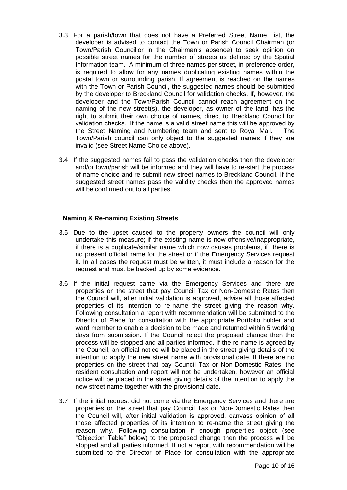- 3.3 For a parish/town that does not have a Preferred Street Name List, the developer is advised to contact the Town or Parish Council Chairman (or Town/Parish Councillor in the Chairman's absence) to seek opinion on possible street names for the number of streets as defined by the Spatial Information team. A minimum of three names per street, in preference order, is required to allow for any names duplicating existing names within the postal town or surrounding parish. If agreement is reached on the names with the Town or Parish Council, the suggested names should be submitted by the developer to Breckland Council for validation checks. If, however, the developer and the Town/Parish Council cannot reach agreement on the naming of the new street(s), the developer, as owner of the land, has the right to submit their own choice of names, direct to Breckland Council for validation checks. If the name is a valid street name this will be approved by the Street Naming and Numbering team and sent to Royal Mail. The Town/Parish council can only object to the suggested names if they are invalid (see Street Name Choice above).
- 3.4 If the suggested names fail to pass the validation checks then the developer and/or town/parish will be informed and they will have to re-start the process of name choice and re-submit new street names to Breckland Council. If the suggested street names pass the validity checks then the approved names will be confirmed out to all parties.

#### **Naming & Re-naming Existing Streets**

- 3.5 Due to the upset caused to the property owners the council will only undertake this measure; if the existing name is now offensive/inappropriate, if there is a duplicate/similar name which now causes problems, if there is no present official name for the street or if the Emergency Services request it. In all cases the request must be written, it must include a reason for the request and must be backed up by some evidence.
- 3.6 If the initial request came via the Emergency Services and there are properties on the street that pay Council Tax or Non-Domestic Rates then the Council will, after initial validation is approved, advise all those affected properties of its intention to re-name the street giving the reason why. Following consultation a report with recommendation will be submitted to the Director of Place for consultation with the appropriate Portfolio holder and ward member to enable a decision to be made and returned within 5 working days from submission. If the Council reject the proposed change then the process will be stopped and all parties informed. If the re-name is agreed by the Council, an official notice will be placed in the street giving details of the intention to apply the new street name with provisional date. If there are no properties on the street that pay Council Tax or Non-Domestic Rates, the resident consultation and report will not be undertaken, however an official notice will be placed in the street giving details of the intention to apply the new street name together with the provisional date.
- 3.7 If the initial request did not come via the Emergency Services and there are properties on the street that pay Council Tax or Non-Domestic Rates then the Council will, after initial validation is approved, canvass opinion of all those affected properties of its intention to re-name the street giving the reason why. Following consultation if enough properties object (see "Objection Table" below) to the proposed change then the process will be stopped and all parties informed. If not a report with recommendation will be submitted to the Director of Place for consultation with the appropriate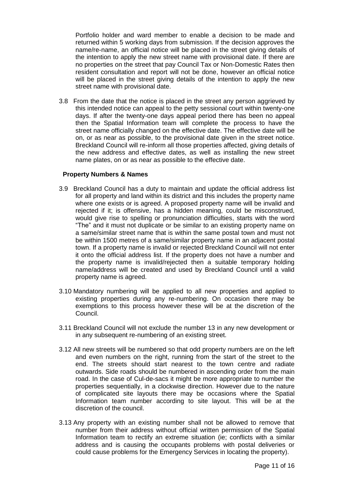Portfolio holder and ward member to enable a decision to be made and returned within 5 working days from submission. If the decision approves the name/re-name, an official notice will be placed in the street giving details of the intention to apply the new street name with provisional date. If there are no properties on the street that pay Council Tax or Non-Domestic Rates then resident consultation and report will not be done, however an official notice will be placed in the street giving details of the intention to apply the new street name with provisional date.

3.8 From the date that the notice is placed in the street any person aggrieved by this intended notice can appeal to the petty sessional court within twenty-one days. If after the twenty-one days appeal period there has been no appeal then the Spatial Information team will complete the process to have the street name officially changed on the effective date. The effective date will be on, or as near as possible, to the provisional date given in the street notice. Breckland Council will re-inform all those properties affected, giving details of the new address and effective dates, as well as installing the new street name plates, on or as near as possible to the effective date.

#### **Property Numbers & Names**

- 3.9 Breckland Council has a duty to maintain and update the official address list for all property and land within its district and this includes the property name where one exists or is agreed. A proposed property name will be invalid and rejected if it; is offensive, has a hidden meaning, could be misconstrued, would give rise to spelling or pronunciation difficulties, starts with the word "The" and it must not duplicate or be similar to an existing property name on a same/similar street name that is within the same postal town and must not be within 1500 metres of a same/similar property name in an adjacent postal town. If a property name is invalid or rejected Breckland Council will not enter it onto the official address list. If the property does not have a number and the property name is invalid/rejected then a suitable temporary holding name/address will be created and used by Breckland Council until a valid property name is agreed.
- 3.10 Mandatory numbering will be applied to all new properties and applied to existing properties during any re-numbering. On occasion there may be exemptions to this process however these will be at the discretion of the Council.
- 3.11 Breckland Council will not exclude the number 13 in any new development or in any subsequent re-numbering of an existing street.
- 3.12 All new streets will be numbered so that odd property numbers are on the left and even numbers on the right, running from the start of the street to the end. The streets should start nearest to the town centre and radiate outwards. Side roads should be numbered in ascending order from the main road. In the case of Cul-de-sacs it might be more appropriate to number the properties sequentially, in a clockwise direction. However due to the nature of complicated site layouts there may be occasions where the Spatial Information team number according to site layout. This will be at the discretion of the council.
- 3.13 Any property with an existing number shall not be allowed to remove that number from their address without official written permission of the Spatial Information team to rectify an extreme situation (ie; conflicts with a similar address and is causing the occupants problems with postal deliveries or could cause problems for the Emergency Services in locating the property).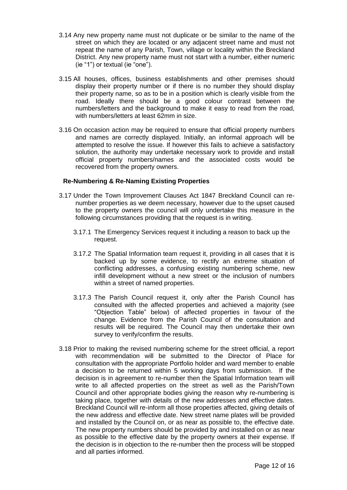- 3.14 Any new property name must not duplicate or be similar to the name of the street on which they are located or any adjacent street name and must not repeat the name of any Parish, Town, village or locality within the Breckland District. Any new property name must not start with a number, either numeric (ie "1") or textual (ie "one").
- 3.15 All houses, offices, business establishments and other premises should display their property number or if there is no number they should display their property name, so as to be in a position which is clearly visible from the road. Ideally there should be a good colour contrast between the numbers/letters and the background to make it easy to read from the road, with numbers/letters at least 62mm in size.
- 3.16 On occasion action may be required to ensure that official property numbers and names are correctly displayed. Initially, an informal approach will be attempted to resolve the issue. If however this fails to achieve a satisfactory solution, the authority may undertake necessary work to provide and install official property numbers/names and the associated costs would be recovered from the property owners.

#### **Re-Numbering & Re-Naming Existing Properties**

- 3.17 Under the Town Improvement Clauses Act 1847 Breckland Council can renumber properties as we deem necessary, however due to the upset caused to the property owners the council will only undertake this measure in the following circumstances providing that the request is in writing.
	- 3.17.1 The Emergency Services request it including a reason to back up the request.
	- 3.17.2 The Spatial Information team request it, providing in all cases that it is backed up by some evidence, to rectify an extreme situation of conflicting addresses, a confusing existing numbering scheme, new infill development without a new street or the inclusion of numbers within a street of named properties.
	- 3.17.3 The Parish Council request it, only after the Parish Council has consulted with the affected properties and achieved a majority (see "Objection Table" below) of affected properties in favour of the change. Evidence from the Parish Council of the consultation and results will be required. The Council may then undertake their own survey to verify/confirm the results.
- 3.18 Prior to making the revised numbering scheme for the street official, a report with recommendation will be submitted to the Director of Place for consultation with the appropriate Portfolio holder and ward member to enable a decision to be returned within 5 working days from submission. If the decision is in agreement to re-number then the Spatial Information team will write to all affected properties on the street as well as the Parish/Town Council and other appropriate bodies giving the reason why re-numbering is taking place, together with details of the new addresses and effective dates. Breckland Council will re-inform all those properties affected, giving details of the new address and effective date. New street name plates will be provided and installed by the Council on, or as near as possible to, the effective date. The new property numbers should be provided by and installed on or as near as possible to the effective date by the property owners at their expense. If the decision is in objection to the re-number then the process will be stopped and all parties informed.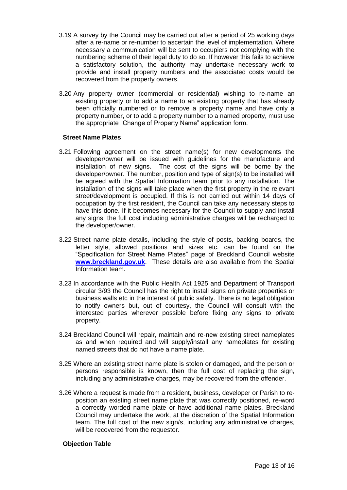- 3.19 A survey by the Council may be carried out after a period of 25 working days after a re-name or re-number to ascertain the level of implementation. Where necessary a communication will be sent to occupiers not complying with the numbering scheme of their legal duty to do so. If however this fails to achieve a satisfactory solution, the authority may undertake necessary work to provide and install property numbers and the associated costs would be recovered from the property owners.
- 3.20 Any property owner (commercial or residential) wishing to re-name an existing property or to add a name to an existing property that has already been officially numbered or to remove a property name and have only a property number, or to add a property number to a named property, must use the appropriate "Change of Property Name" application form.

#### **Street Name Plates**

- 3.21 Following agreement on the street name(s) for new developments the developer/owner will be issued with guidelines for the manufacture and installation of new signs. The cost of the signs will be borne by the developer/owner. The number, position and type of sign(s) to be installed will be agreed with the Spatial Information team prior to any installation. The installation of the signs will take place when the first property in the relevant street/development is occupied. If this is not carried out within 14 days of occupation by the first resident, the Council can take any necessary steps to have this done. If it becomes necessary for the Council to supply and install any signs, the full cost including administrative charges will be recharged to the developer/owner.
- 3.22 Street name plate details, including the style of posts, backing boards, the letter style, allowed positions and sizes etc. can be found on the "Specification for Street Name Plates" page of Breckland Council website **[www.breckland.gov.uk](http://www.breckland.gov.uk/)**. These details are also available from the Spatial Information team.
- 3.23 In accordance with the Public Health Act 1925 and Department of Transport circular 3/93 the Council has the right to install signs on private properties or business walls etc in the interest of public safety. There is no legal obligation to notify owners but, out of courtesy, the Council will consult with the interested parties wherever possible before fixing any signs to private property.
- 3.24 Breckland Council will repair, maintain and re-new existing street nameplates as and when required and will supply/install any nameplates for existing named streets that do not have a name plate.
- 3.25 Where an existing street name plate is stolen or damaged, and the person or persons responsible is known, then the full cost of replacing the sign, including any administrative charges, may be recovered from the offender.
- 3.26 Where a request is made from a resident, business, developer or Parish to reposition an existing street name plate that was correctly positioned, re-word a correctly worded name plate or have additional name plates. Breckland Council may undertake the work, at the discretion of the Spatial Information team. The full cost of the new sign/s, including any administrative charges, will be recovered from the requestor.

#### **Objection Table**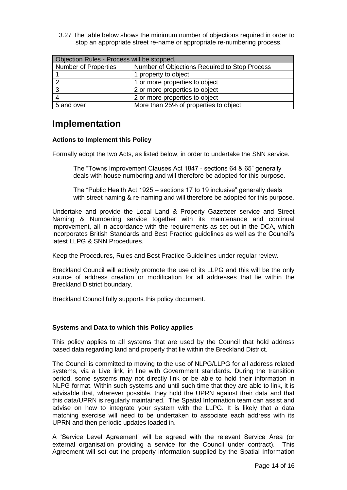3.27 The table below shows the minimum number of objections required in order to stop an appropriate street re-name or appropriate re-numbering process.

| Objection Rules - Process will be stopped. |                                               |  |
|--------------------------------------------|-----------------------------------------------|--|
| <b>Number of Properties</b>                | Number of Objections Required to Stop Process |  |
|                                            | 1 property to object                          |  |
|                                            | 1 or more properties to object                |  |
|                                            | 2 or more properties to object                |  |
|                                            | 2 or more properties to object                |  |
| 5 and over                                 | More than 25% of properties to object         |  |

### <span id="page-13-0"></span>**Implementation**

#### **Actions to Implement this Policy**

Formally adopt the two Acts, as listed below, in order to undertake the SNN service.

The "Towns Improvement Clauses Act 1847 - sections 64 & 65" generally deals with house numbering and will therefore be adopted for this purpose.

The "Public Health Act 1925 – sections 17 to 19 inclusive" generally deals with street naming & re-naming and will therefore be adopted for this purpose.

Undertake and provide the Local Land & Property Gazetteer service and Street Naming & Numbering service together with its maintenance and continual improvement, all in accordance with the requirements as set out in the DCA, which incorporates British Standards and Best Practice guidelines as well as the Council's latest LLPG & SNN Procedures.

Keep the Procedures, Rules and Best Practice Guidelines under regular review.

Breckland Council will actively promote the use of its LLPG and this will be the only source of address creation or modification for all addresses that lie within the Breckland District boundary.

Breckland Council fully supports this policy document.

#### **Systems and Data to which this Policy applies**

This policy applies to all systems that are used by the Council that hold address based data regarding land and property that lie within the Breckland District.

The Council is committed to moving to the use of NLPG/LLPG for all address related systems, via a Live link, in line with Government standards. During the transition period, some systems may not directly link or be able to hold their information in NLPG format. Within such systems and until such time that they are able to link, it is advisable that, wherever possible, they hold the UPRN against their data and that this data/UPRN is regularly maintained. The Spatial Information team can assist and advise on how to integrate your system with the LLPG. It is likely that a data matching exercise will need to be undertaken to associate each address with its UPRN and then periodic updates loaded in.

A 'Service Level Agreement' will be agreed with the relevant Service Area (or external organisation providing a service for the Council under contract). This Agreement will set out the property information supplied by the Spatial Information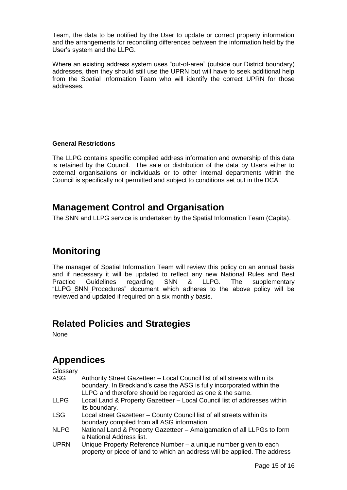Team, the data to be notified by the User to update or correct property information and the arrangements for reconciling differences between the information held by the User's system and the LLPG.

Where an existing address system uses "out-of-area" (outside our District boundary) addresses, then they should still use the UPRN but will have to seek additional help from the Spatial Information Team who will identify the correct UPRN for those addresses.

#### **General Restrictions**

The LLPG contains specific compiled address information and ownership of this data is retained by the Council. The sale or distribution of the data by Users either to external organisations or individuals or to other internal departments within the Council is specifically not permitted and subject to conditions set out in the DCA.

## <span id="page-14-0"></span>**Management Control and Organisation**

The SNN and LLPG service is undertaken by the Spatial Information Team (Capita).

# <span id="page-14-1"></span>**Monitoring**

The manager of Spatial Information Team will review this policy on an annual basis and if necessary it will be updated to reflect any new National Rules and Best Practice Guidelines regarding SNN & LLPG. The supplementary "LLPG\_SNN\_Procedures" document which adheres to the above policy will be reviewed and updated if required on a six monthly basis.

# <span id="page-14-2"></span>**Related Policies and Strategies**

None

# <span id="page-14-3"></span>**Appendices**

**Glossary** 

| <b>ASG</b>  | Authority Street Gazetteer - Local Council list of all streets within its                 |
|-------------|-------------------------------------------------------------------------------------------|
|             | boundary. In Breckland's case the ASG is fully incorporated within the                    |
|             | LLPG and therefore should be regarded as one & the same.                                  |
| <b>LLPG</b> | Local Land & Property Gazetteer - Local Council list of addresses within<br>its boundary. |
|             |                                                                                           |
| <b>LSG</b>  | Local street Gazetteer - County Council list of all streets within its                    |
|             | boundary compiled from all ASG information.                                               |

- NLPG National Land & Property Gazetteer Amalgamation of all LLPGs to form a National Address list.
- UPRN Unique Property Reference Number a unique number given to each property or piece of land to which an address will be applied. The address